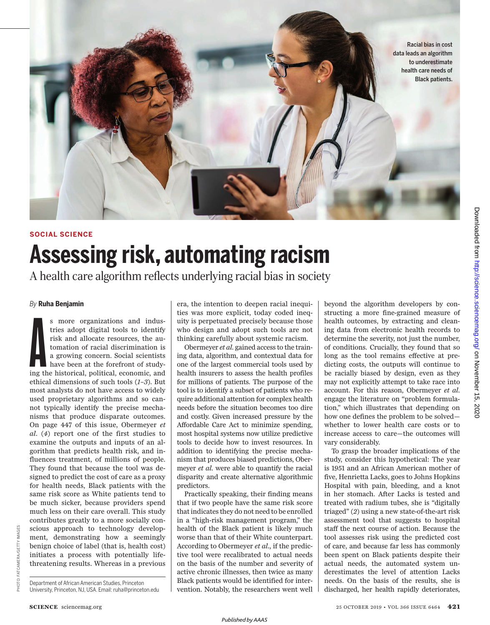

# **SOCIAL SCIENCE Assessing risk, automating racism**

A health care algorithm reflects underlying racial bias in society

#### *By* **Ruha Benjamin**

**A**<br>ing th s more organizations and industries adopt digital tools to identify risk and allocate resources, the automation of racial discrimination is a growing concern. Social scientists have been at the forefront of studying the historical, political, economic, and ethical dimensions of such tools (*1*–*3*). But most analysts do not have access to widely used proprietary algorithms and so cannot typically identify the precise mechanisms that produce disparate outcomes. On page 447 of this issue, Obermeyer *et al*. (*4*) report one of the first studies to examine the outputs and inputs of an algorithm that predicts health risk, and influences treatment, of millions of people. They found that because the tool was designed to predict the cost of care as a proxy for health needs, Black patients with the same risk score as White patients tend to be much sicker, because providers spend much less on their care overall. This study contributes greatly to a more socially conscious approach to technology development, demonstrating how a seemingly benign choice of label (that is, health cost) initiates a process with potentially lifethreatening results. Whereas in a previous era, the intention to deepen racial inequities was more explicit, today coded inequity is perpetuated precisely because those who design and adopt such tools are not thinking carefully about systemic racism.

Obermeyer *et al*. gained access to the training data, algorithm, and contextual data for one of the largest commercial tools used by health insurers to assess the health profiles for millions of patients. The purpose of the tool is to identify a subset of patients who require additional attention for complex health needs before the situation becomes too dire and costly. Given increased pressure by the Affordable Care Act to minimize spending, most hospital systems now utilize predictive tools to decide how to invest resources. In addition to identifying the precise mechanism that produces biased predictions, Obermeyer *et al*. were able to quantify the racial disparity and create alternative algorithmic predictors.

Practically speaking, their finding means that if two people have the same risk score that indicates they do not need to be enrolled in a "high-risk management program," the health of the Black patient is likely much worse than that of their White counterpart. According to Obermeyer *et al*., if the predictive tool were recalibrated to actual needs on the basis of the number and severity of active chronic illnesses, then twice as many Black patients would be identified for intervention. Notably, the researchers went well

beyond the algorithm developers by constructing a more fine-grained measure of health outcomes, by extracting and cleaning data from electronic health records to determine the severity, not just the number, of conditions. Crucially, they found that so long as the tool remains effective at predicting costs, the outputs will continue to be racially biased by design, even as they may not explicitly attempt to take race into account. For this reason, Obermeyer *et al*. engage the literature on "problem formulation," which illustrates that depending on how one defines the problem to be solved whether to lower health care costs or to increase access to care—the outcomes will vary considerably.

To grasp the broader implications of the study, consider this hypothetical: The year is 1951 and an African American mother of five, Henrietta Lacks, goes to Johns Hopkins Hospital with pain, bleeding, and a knot in her stomach. After Lacks is tested and treated with radium tubes, she is "digitally triaged" (*2*) using a new state-of-the-art risk assessment tool that suggests to hospital staff the next course of action. Because the tool assesses risk using the predicted cost of care, and because far less has commonly been spent on Black patients despite their actual needs, the automated system underestimates the level of attention Lacks needs. On the basis of the results, she is discharged, her health rapidly deteriorates,

Department of African American Studies, Princeton University, Princeton, NJ, USA. Email: ruha@princeton.edu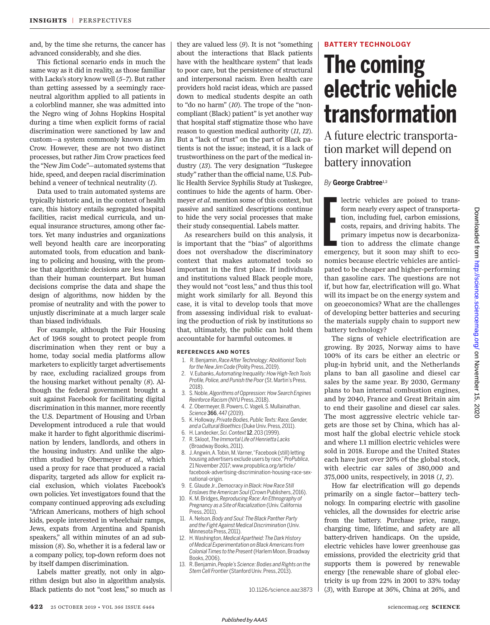and, by the time she returns, the cancer has advanced considerably, and she dies.

This fictional scenario ends in much the same way as it did in reality, as those familiar with Lacks's story know well (*5*–*7*). But rather than getting assessed by a seemingly raceneutral algorithm applied to all patients in a colorblind manner, she was admitted into the Negro wing of Johns Hopkins Hospital during a time when explicit forms of racial discrimination were sanctioned by law and custom—a system commonly known as Jim Crow. However, these are not two distinct processes, but rather Jim Crow practices feed the "New Jim Code"—automated systems that hide, speed, and deepen racial discrimination behind a veneer of technical neutrality (*1*).

Data used to train automated systems are typically historic and, in the context of health care, this history entails segregated hospital facilities, racist medical curricula, and unequal insurance structures, among other factors. Yet many industries and organizations well beyond health care are incorporating automated tools, from education and banking to policing and housing, with the promise that algorithmic decisions are less biased than their human counterpart. But human decisions comprise the data and shape the design of algorithms, now hidden by the promise of neutrality and with the power to unjustly discriminate at a much larger scale than biased individuals.

For example, although the Fair Housing Act of 1968 sought to protect people from discrimination when they rent or buy a home, today social media platforms allow marketers to explicitly target advertisements by race, excluding racialized groups from the housing market without penalty (*8*). Although the federal government brought a suit against Facebook for facilitating digital discrimination in this manner, more recently the U.S. Department of Housing and Urban Development introduced a rule that would make it harder to fight algorithmic discrimination by lenders, landlords, and others in the housing industry. And unlike the algorithm studied by Obermeyer *et al*., which used a proxy for race that produced a racial disparity, targeted ads allow for explicit racial exclusion, which violates Facebook's own policies. Yet investigators found that the company continued approving ads excluding "African Americans, mothers of high school kids, people interested in wheelchair ramps, Jews, expats from Argentina and Spanish speakers," all within minutes of an ad submission (*8*). So, whether it is a federal law or a company policy, top-down reform does not by itself dampen discrimination.

Labels matter greatly, not only in algorithm design but also in algorithm analysis. Black patients do not "cost less," so much as they are valued less (*9*). It is not "something about the interactions that Black patients have with the healthcare system" that leads to poor care, but the persistence of structural and interpersonal racism. Even health care providers hold racist ideas, which are passed down to medical students despite an oath to "do no harm" (*10*). The trope of the "noncompliant (Black) patient" is yet another way that hospital staff stigmatize those who have reason to question medical authority (*11*, *12*). But a "lack of trust" on the part of Black patients is not the issue; instead, it is a lack of trustworthiness on the part of the medical industry (*13*). The very designation "Tuskegee study" rather than the official name, U.S. Public Health Service Syphilis Study at Tuskegee, continues to hide the agents of harm. Obermeyer *et al*. mention some of this context, but passive and sanitized descriptions continue to hide the very social processes that make their study consequential. Labels matter.

As researchers build on this analysis, it is important that the "bias" of algorithms does not overshadow the discriminatory context that makes automated tools so important in the first place. If individuals and institutions valued Black people more, they would not "cost less," and thus this tool might work similarly for all. Beyond this case, it is vital to develop tools that move from assessing individual risk to evaluating the production of risk by institutions so that, ultimately, the public can hold them accountable for harmful outcomes.  $\blacksquare$ 

#### **REFERENCES AND NOTES**

- 1. R. Benjamin, *Race After Technology: Abolitionist Tools for the New Jim Code* (Polity Press, 2019).
- 2. V. Eubanks, *Automating Inequality: How High-Tech Tools Profile, Police, and Punish the Poor* (St. Martin's Press, 2018).
- 3. S. Noble, *Algorithms of Oppression: How Search Engines Reinforce Racism* (NYU Press, 2018).
- 4. Z. Obermeyer, B. Powers, C. Vogeli, S. Mullainathan, *Science* 366, 447 (2019).
- 5. K. Holloway, *Private Bodies, Public Texts: Race, Gender, and a Cultural Bioethics* (Duke Univ. Press, 2011).
- 6. H. Landecker, *Sci. Context*12, 203 (1999).
- 7. R. Skloot, *The Immortal Life of Henrietta Lacks* (Broadway Books, 2011).
- 8. J. Angwin, A. Tobin, M. Varner, "Facebook (still) letting housing advertisers exclude users by race," *ProPublica*, 21 November 2017; www.propublica.org/article/ facebook-advertising-discrimination-housing-race-sexnational-origin.
- 9. E. Glaude Jr., *Democracy in Black: How Race Still Enslaves the American Soul* (Crown Publishers, 2016).
- 10. K. M. Bridges, *Reproducing Race: An Ethnography of Pregnancy as a Site of Racialization* (Univ. California Press, 2011).
- 11. A. Nelson, *Body and Soul: The Black Panther Party and the Fight Against Medical Discrimination* (Univ. Minnesota Press, 2011).
- 12. H. Washington, *Medical Apartheid: The Dark History of Medical Experimentation on Black Americans from Colonial Times to the Present* (Harlem Moon, Broadway Books, 2006).
- 13. R. Benjamin, *People's Science: Bodies and Rights on the Stem Cell Frontier* (Stanford Univ. Press, 2013).

10.1126/science.aaz3873

#### **BATTERY TECHNOLOGY**

# **The coming electric vehicle transformation**

A future electric transportation market will depend on battery innovation

## *By* **George Crabtree**1,2

Extending the control of the control of the control of the control of the control of the control of the control of the control of the control of the control of the control of the control of the control of the control of th lectric vehicles are poised to transform nearly every aspect of transportation, including fuel, carbon emissions, costs, repairs, and driving habits. The primary impetus now is decarbonization to address the climate change emergency, but it soon may shift to economics because electric vehicles are anticipated to be cheaper and higher-performing than gasoline cars. The questions are not if, but how far, electrification will go. What will its impact be on the energy system and on geoeconomics? What are the challenges of developing better batteries and securing the materials supply chain to support new battery technology?

The signs of vehicle electrification are growing. By 2025, Norway aims to have 100% of its cars be either an electric or plug-in hybrid unit, and the Netherlands plans to ban all gasoline and diesel car sales by the same year. By 2030, Germany plans to ban internal combustion engines, and by 2040, France and Great Britain aim to end their gasoline and diesel car sales. The most aggressive electric vehicle targets are those set by China, which has almost half the global electric vehicle stock and where 1.1 million electric vehicles were sold in 2018. Europe and the United States each have just over 20% of the global stock, with electric car sales of 380,000 and 375,000 units, respectively, in 2018 (*1*, *2*).

How far electrification will go depends primarily on a single factor—battery technology. In comparing electric with gasoline vehicles, all the downsides for electric arise from the battery. Purchase price, range, charging time, lifetime, and safety are all battery-driven handicaps. On the upside, electric vehicles have lower greenhouse gas emissions, provided the electricity grid that supports them is powered by renewable energy [the renewable share of global electricity is up from 22% in 2001 to 33% today (*3*), with Europe at 36%, China at 26%, and